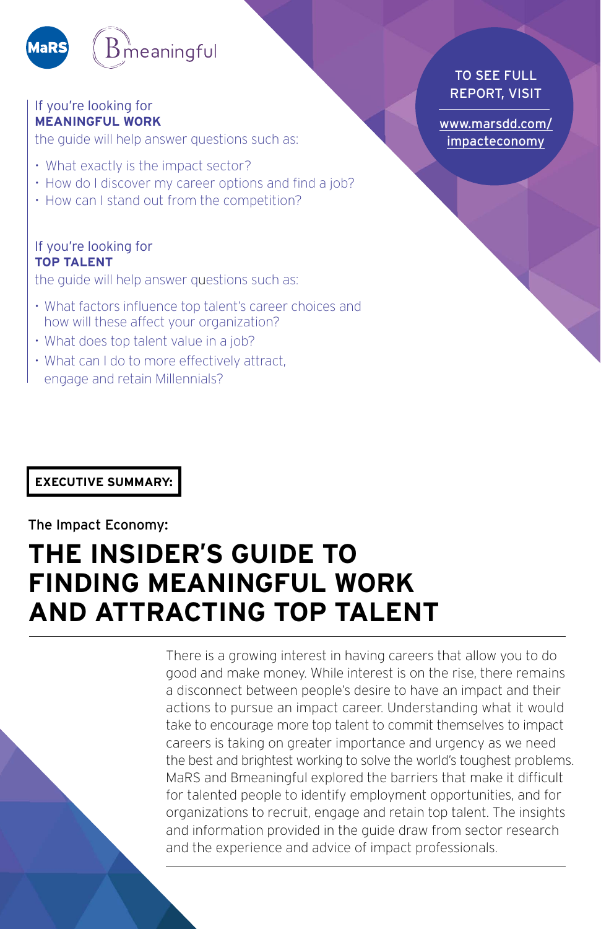

#### If you're looking for **MEANINGFUL WORK**

the guide will help answer questions such as:

- What exactly is the impact sector?
- How do I discover my career options and find a job?
- How can I stand out from the competition?

#### If you're looking for **TOP TALENT**

the guide will help answer questions such as:

- What factors influence top talent's career choices and how will these affect your organization?
- What does top talent value in a job?
- What can I do to more effectively attract, engage and retain Millennials?

**EXECUTIVE SUMMARY:** 

#### The Impact Economy:

## **THE INSIDER'S GUIDE TO FINDING MEANINGFUL WORK AND ATTRACTING TOP TALENT**

There is a growing interest in having careers that allow you to do good and make money. While interest is on the rise, there remains a disconnect between people's desire to have an impact and their actions to pursue an impact career. Understanding what it would take to encourage more top talent to commit themselves to impact careers is taking on greater importance and urgency as we need the best and brightest working to solve the world's toughest problems. MaRS and Bmeaningful explored the barriers that make it difficult for talented people to identify employment opportunities, and for organizations to recruit, engage and retain top talent. The insights and information provided in the guide draw from sector research and the experience and advice of impact professionals.

#### TO SEE FULL REPORT, VISIT

[www.marsdd.com/](http://www.marsdd.com/impacteconomy) [impacteconomy](http://www.marsdd.com/impacteconomy)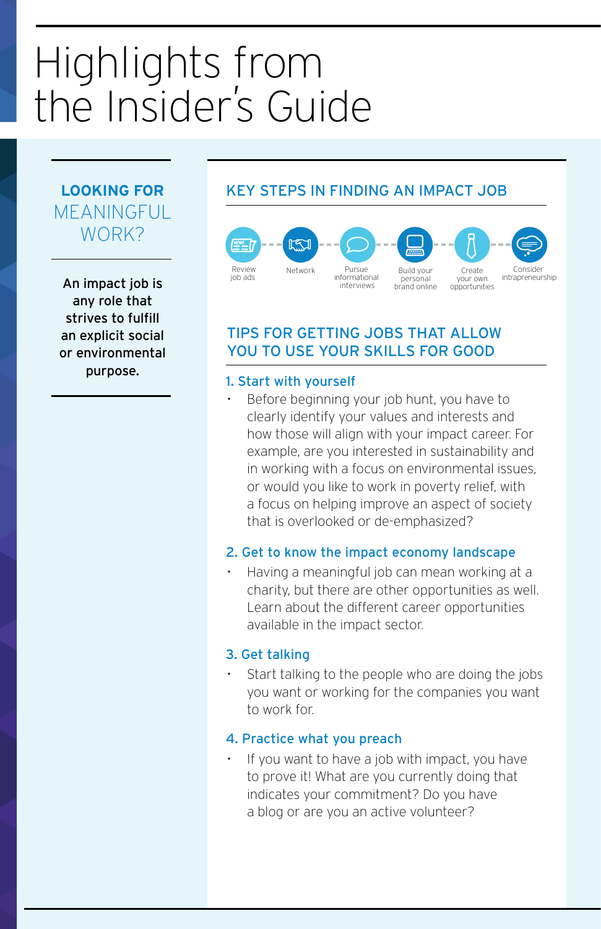# Highlights from the Insider' s Guide

## **LOOKING FOR MEANINGFUL** WORK?

An impact job is any role that strives to fulfill an explicit social or environmental purpose.

## KEY STEPS IN FINDING AN IMPACT JOB



#### TIPS FOR GETTING JOBS THAT ALLOW YOU TO USE YOUR SKILLS FOR GOOD

## 1. Start with yourself

Before beginning your job hunt, you have to clearly identify your values and interests and how those will align with your impact career. For example, are you interested in sustainability and in working with a focus on environmental issues, or would you like to work in poverty relief, with a focus on helping improve an aspect of society that is overlooked or de-emphasized?

#### 2. Get to know the impact economy landscape

• Having a meaningful job can mean working at a charity, but there are other opportunities as well. Learn about the different career opportunities available in the impact sector.

#### 3. Get talking

Start talking to the people who are doing the jobs you want or working for the companies you want to work for.

#### 4. Practice what you preach

If you want to have a job with impact, you have to prove it! What are you currently doing that indicates your commitment? Do you have a blog or are you an active volunteer?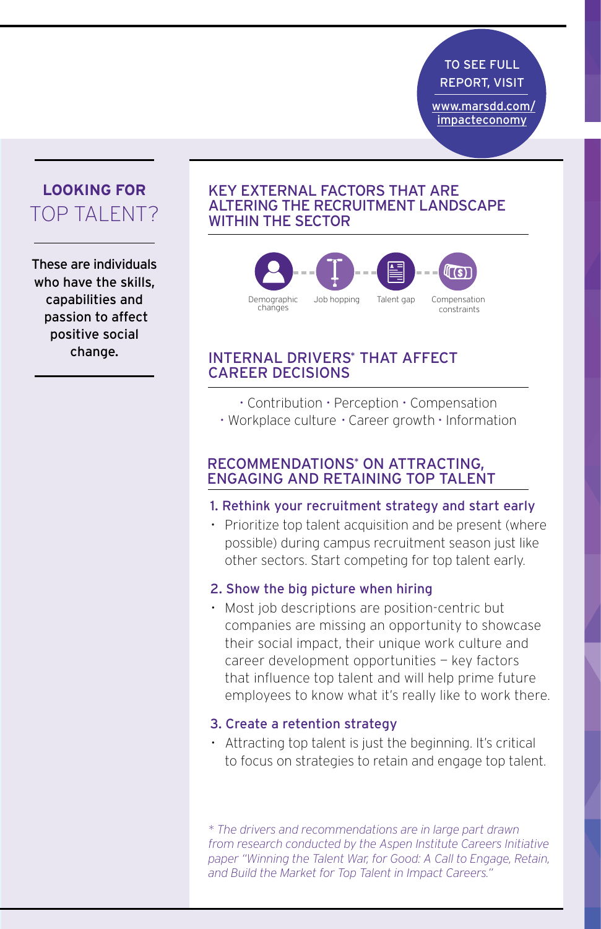TO SEE FULL REPORT, VISIT

'[www.marsdd.com/](http://www.marsdd.com/impacteconomy) [impacteconomy](http://www.marsdd.com/impacteconomy)

> Consider intrapraneurship

## **LOOKING FOR** TOP TAI FNT?

These are individuals who have the skills, capabilities and passion to affect positive social change.

#### KEY EXTERNAL FACTORS THAT ARE interviews and concentrations in the service online only in the service only in the service of the service online only in the service of the service of the service of the service of the service of the service of the servic WITHIN THE SECTOR



#### INTERNAL DRIVERS\* THAT AFFECT CAREER DECISIONS

- Contribution Perception Compensation
- Workplace culture Career growth Information

#### RECOMMENDATIONS<sup>\*</sup> ON ATTRACTING, ENGAGING AND RETAINING TOP TALENT

- 1. Rethink your recruitment strategy and start early
- Prioritize top talent acquisition and be present (where possible) during campus recruitment season just like other sectors. Start competing for top talent early.

#### 2. Show the big picture when hiring

• Most job descriptions are position-centric but companies are missing an opportunity to showcase their social impact, their unique work culture and career development opportunities — key factors that influence top talent and will help prime future employees to know what it's really like to work there.

#### 3. Create a retention strategy

• Attracting top talent is just the beginning. It's critical to focus on strategies to retain and engage top talent.

*\* The drivers and recommendations are in large part drawn from research conducted by the Aspen Institute Careers Initiative*  paper "Winning the Talent War, for Good: A Call to Engage, Retain, *and Build the Market for Top Talent in Impact Careers."*